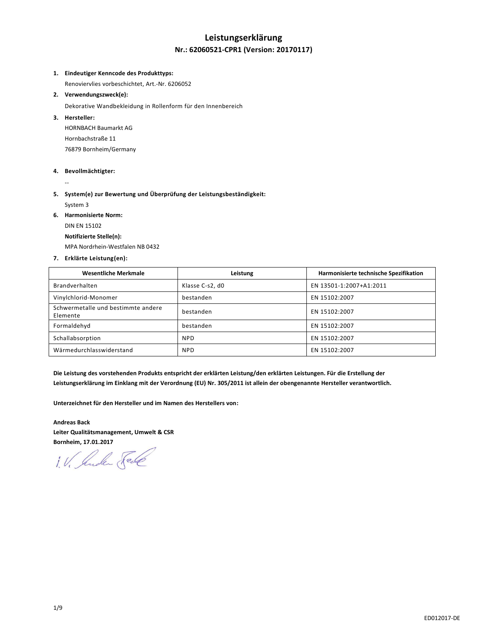# **Leistungserklärung**

## **Nr.: 62060521-CPR1 (Version: 20170117)**

#### **1. Eindeutiger Kenncode des Produkttyps:**

Renoviervlies vorbeschichtet, Art.-Nr. 6206052

## **2. Verwendungszweck(e):**

Dekorative Wandbekleidung in Rollenform für den Innenbereich

#### **3. Hersteller:**

HORNBACH Baumarkt AG Hornbachstraße 11 76879 Bornheim/Germany

## **4. Bevollmächtigter:**

--

- **5. System(e) zur Bewertung und Überprüfung der Leistungsbeständigkeit:** System 3
- **6. Harmonisierte Norm:**

DIN EN 15102

**Notifizierte Stelle(n):**

MPA Nordrhein-Westfalen NB 0432

#### **7. Erklärte Leistung(en):**

| <b>Wesentliche Merkmale</b>                    | Leistung        | Harmonisierte technische Spezifikation |
|------------------------------------------------|-----------------|----------------------------------------|
| Brandverhalten                                 | Klasse C-s2, d0 | EN 13501-1:2007+A1:2011                |
| Vinylchlorid-Monomer                           | bestanden       | EN 15102:2007                          |
| Schwermetalle und bestimmte andere<br>Elemente | bestanden       | EN 15102:2007                          |
| Formaldehyd                                    | bestanden       | EN 15102:2007                          |
| Schallabsorption                               | <b>NPD</b>      | EN 15102:2007                          |
| Wärmedurchlasswiderstand                       | <b>NPD</b>      | EN 15102:2007                          |

**Die Leistung des vorstehenden Produkts entspricht der erklärten Leistung/den erklärten Leistungen. Für die Erstellung der Leistungserklärung im Einklang mit der Verordnung (EU) Nr. 305/2011 ist allein der obengenannte Hersteller verantwortlich.**

**Unterzeichnet für den Hersteller und im Namen des Herstellers von:**

**Andreas Back Leiter Qualitätsmanagement, Umwelt & CSR Bornheim, 17.01.2017**

1. V. Suder Fell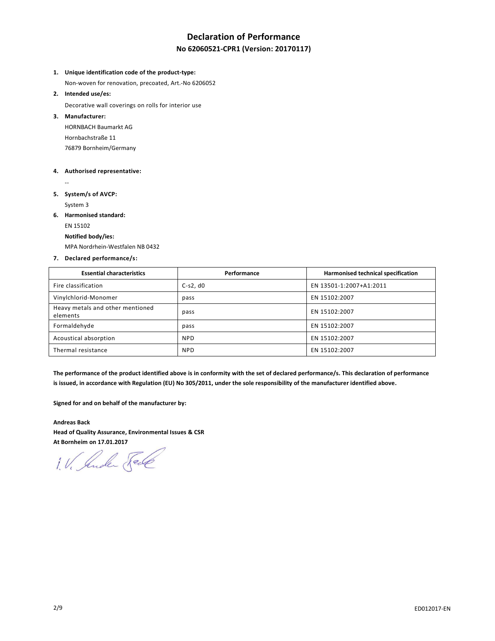# **Declaration of Performance**

## **No 62060521-CPR1 (Version: 20170117)**

**1. Unique identification code of the product-type:**

Non-woven for renovation, precoated, Art.-No 6206052

**2. Intended use/es:**

Decorative wall coverings on rolls for interior use

**3. Manufacturer:** HORNBACH Baumarkt AG

> Hornbachstraße 11 76879 Bornheim/Germany

#### **4. Authorised representative:**

- --
- **5. System/s of AVCP:** System 3
- **6. Harmonised standard:**

EN 15102

**Notified body/ies:**

MPA Nordrhein-Westfalen NB 0432

## **7. Declared performance/s:**

| <b>Essential characteristics</b>             | Performance | Harmonised technical specification |
|----------------------------------------------|-------------|------------------------------------|
| Fire classification                          | $C-s2, d0$  | EN 13501-1:2007+A1:2011            |
| Vinylchlorid-Monomer                         | pass        | EN 15102:2007                      |
| Heavy metals and other mentioned<br>elements | pass        | EN 15102:2007                      |
| Formaldehyde                                 | pass        | EN 15102:2007                      |
| Acoustical absorption                        | <b>NPD</b>  | EN 15102:2007                      |
| Thermal resistance                           | <b>NPD</b>  | EN 15102:2007                      |

**The performance of the product identified above is in conformity with the set of declared performance/s. This declaration of performance is issued, in accordance with Regulation (EU) No 305/2011, under the sole responsibility of the manufacturer identified above.**

**Signed for and on behalf of the manufacturer by:**

**Andreas Back Head of Quality Assurance, Environmental Issues & CSR At Bornheim on 17.01.2017**

1. V. Suder Sele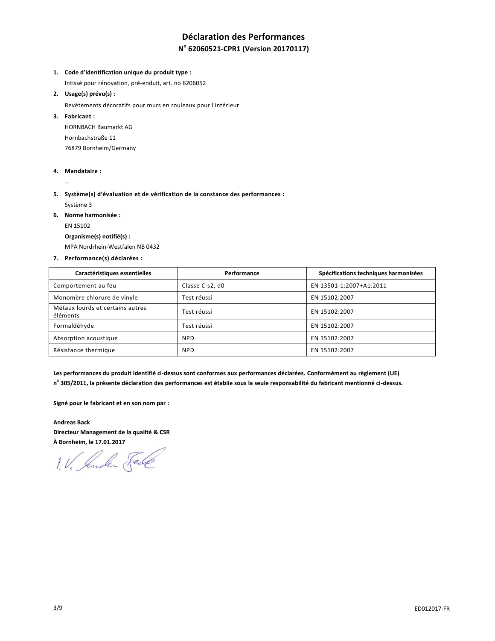# **Déclaration des Performances**

# **N o 62060521-CPR1 (Version 20170117)**

**1. Code d'identification unique du produit type :**

Intissé pour rénovation, pré-enduit, art. no 6206052

**2. Usage(s) prévu(s) :**

Revêtements décoratifs pour murs en rouleaux pour l'intérieur

**3. Fabricant :**

HORNBACH Baumarkt AG Hornbachstraße 11 76879 Bornheim/Germany

**4. Mandataire :**

--

- **5. Système(s) d'évaluation et de vérification de la constance des performances :** Système 3
- **6. Norme harmonisée :**

EN 15102

**Organisme(s) notifié(s) :**

MPA Nordrhein-Westfalen NB 0432

**7. Performance(s) déclarées :**

| Caractéristiques essentielles                | Performance     | Spécifications techniques harmonisées |
|----------------------------------------------|-----------------|---------------------------------------|
| Comportement au feu                          | Classe C-s2, d0 | EN 13501-1:2007+A1:2011               |
| Monomère chlorure de vinyle                  | Test réussi     | EN 15102:2007                         |
| Métaux lourds et certains autres<br>éléments | Test réussi     | EN 15102:2007                         |
| Formaldéhyde                                 | Test réussi     | EN 15102:2007                         |
| Absorption acoustique                        | <b>NPD</b>      | EN 15102:2007                         |
| Résistance thermique                         | <b>NPD</b>      | EN 15102:2007                         |

**Les performances du produit identifié ci-dessus sont conformes aux performances déclarées. Conformément au règlement (UE) n o 305/2011, la présente déclaration des performances est établie sous la seule responsabilité du fabricant mentionné ci-dessus.**

**Signé pour le fabricant et en son nom par :**

**Andreas Back Directeur Management de la qualité & CSR**

**À Bornheim, le 17.01.2017**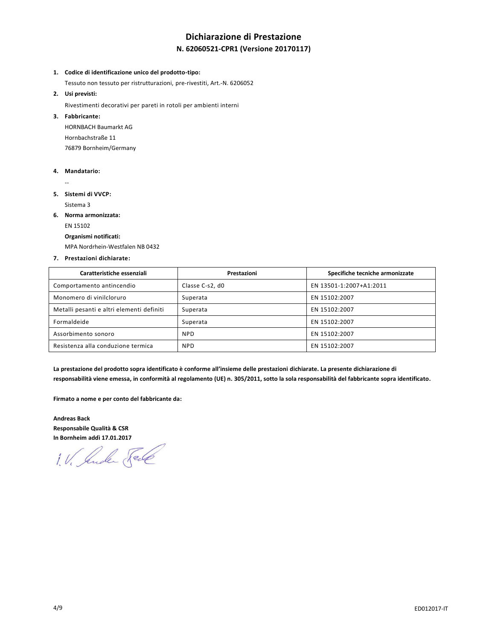# **Dichiarazione di Prestazione**

## **N. 62060521-CPR1 (Versione 20170117)**

#### **1. Codice di identificazione unico del prodotto-tipo:**

Tessuto non tessuto per ristrutturazioni, pre-rivestiti, Art.-N. 6206052

**2. Usi previsti:**

Rivestimenti decorativi per pareti in rotoli per ambienti interni

**3. Fabbricante:**

HORNBACH Baumarkt AG Hornbachstraße 11 76879 Bornheim/Germany

**4. Mandatario:**

--

**5. Sistemi di VVCP:**

Sistema 3

**6. Norma armonizzata:**

EN 15102

#### **Organismi notificati:**

MPA Nordrhein-Westfalen NB 0432

#### **7. Prestazioni dichiarate:**

| Caratteristiche essenziali                | Prestazioni     | Specifiche tecniche armonizzate |
|-------------------------------------------|-----------------|---------------------------------|
| Comportamento antincendio                 | Classe C-s2, d0 | EN 13501-1:2007+A1:2011         |
| Monomero di vinilcloruro                  | Superata        | EN 15102:2007                   |
| Metalli pesanti e altri elementi definiti | Superata        | EN 15102:2007                   |
| Formaldeide                               | Superata        | EN 15102:2007                   |
| Assorbimento sonoro                       | <b>NPD</b>      | EN 15102:2007                   |
| Resistenza alla conduzione termica        | <b>NPD</b>      | EN 15102:2007                   |

**La prestazione del prodotto sopra identificato è conforme all'insieme delle prestazioni dichiarate. La presente dichiarazione di responsabilità viene emessa, in conformità al regolamento (UE) n. 305/2011, sotto la sola responsabilità del fabbricante sopra identificato.**

**Firmato a nome e per conto del fabbricante da:**

**Andreas Back Responsabile Qualità & CSR**

**In Bornheim addì 17.01.2017**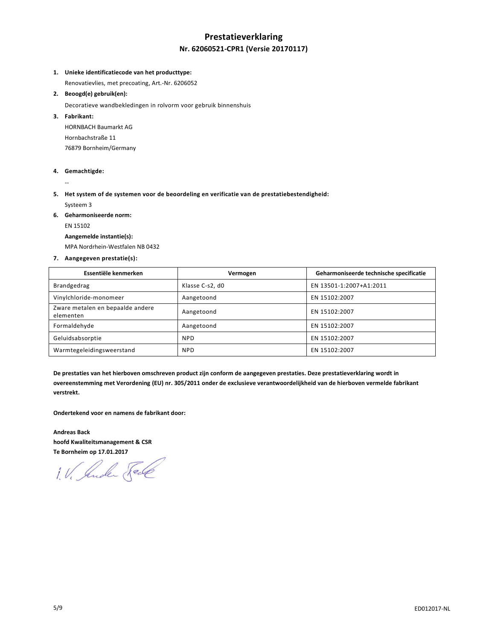# **Prestatieverklaring Nr. 62060521-CPR1 (Versie 20170117)**

#### **1. Unieke identificatiecode van het producttype:**

Renovatievlies, met precoating, Art.-Nr. 6206052

#### **2. Beoogd(e) gebruik(en):**

Decoratieve wandbekledingen in rolvorm voor gebruik binnenshuis

#### **3. Fabrikant:**

HORNBACH Baumarkt AG Hornbachstraße 11 76879 Bornheim/Germany

#### **4. Gemachtigde:**

--

**5. Het system of de systemen voor de beoordeling en verificatie van de prestatiebestendigheid:**

Systeem 3

**6. Geharmoniseerde norm:**

EN 15102

#### **Aangemelde instantie(s):**

MPA Nordrhein-Westfalen NB 0432

## **7. Aangegeven prestatie(s):**

| Essentiële kenmerken                          | Vermogen        | Geharmoniseerde technische specificatie |
|-----------------------------------------------|-----------------|-----------------------------------------|
| Brandgedrag                                   | Klasse C-s2, d0 | EN 13501-1:2007+A1:2011                 |
| Vinylchloride-monomeer                        | Aangetoond      | EN 15102:2007                           |
| Zware metalen en bepaalde andere<br>elementen | Aangetoond      | EN 15102:2007                           |
| Formaldehyde                                  | Aangetoond      | EN 15102:2007                           |
| Geluidsabsorptie                              | <b>NPD</b>      | EN 15102:2007                           |
| Warmtegeleidingsweerstand                     | <b>NPD</b>      | EN 15102:2007                           |

**De prestaties van het hierboven omschreven product zijn conform de aangegeven prestaties. Deze prestatieverklaring wordt in overeenstemming met Verordening (EU) nr. 305/2011 onder de exclusieve verantwoordelijkheid van de hierboven vermelde fabrikant verstrekt.**

**Ondertekend voor en namens de fabrikant door:**

**Andreas Back hoofd Kwaliteitsmanagement & CSR**

**Te Bornheim op 17.01.2017**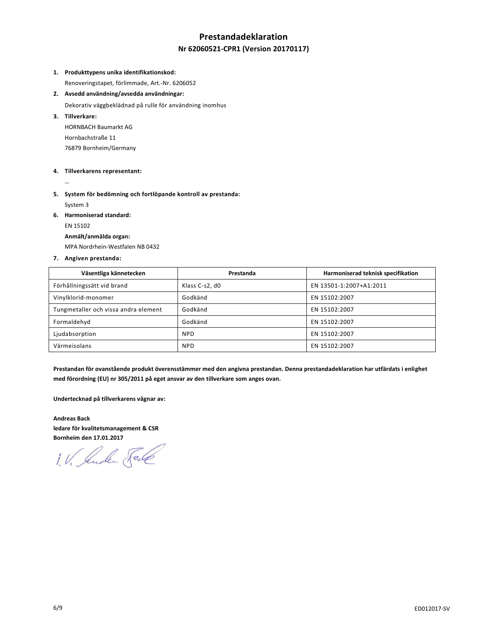# **Prestandadeklaration**

## **Nr 62060521-CPR1 (Version 20170117)**

#### **1. Produkttypens unika identifikationskod:**

Renoveringstapet, förlimmade, Art.-Nr. 6206052

**2. Avsedd användning/avsedda användningar:**

Dekorativ väggbeklädnad på rulle för användning inomhus

**3. Tillverkare:** HORNBACH Baumarkt AG Hornbachstraße 11

76879 Bornheim/Germany

#### **4. Tillverkarens representant:**

--

- **5. System för bedömning och fortlöpande kontroll av prestanda:** System 3
- **6. Harmoniserad standard:**

EN 15102

**Anmält/anmälda organ:**

MPA Nordrhein-Westfalen NB 0432

#### **7. Angiven prestanda:**

| Väsentliga kännetecken               | Prestanda      | Harmoniserad teknisk specifikation |
|--------------------------------------|----------------|------------------------------------|
| Förhållningssätt vid brand           | Klass C-s2, d0 | EN 13501-1:2007+A1:2011            |
| Vinylklorid-monomer                  | Godkänd        | EN 15102:2007                      |
| Tungmetaller och vissa andra element | Godkänd        | EN 15102:2007                      |
| Formaldehyd                          | Godkänd        | EN 15102:2007                      |
| Ljudabsorption                       | <b>NPD</b>     | EN 15102:2007                      |
| Värmeisolans                         | <b>NPD</b>     | EN 15102:2007                      |

**Prestandan för ovanstående produkt överensstämmer med den angivna prestandan. Denna prestandadeklaration har utfärdats i enlighet med förordning (EU) nr 305/2011 på eget ansvar av den tillverkare som anges ovan.**

**Undertecknad på tillverkarens vägnar av:**

**Andreas Back ledare för kvalitetsmanagement & CSR**

**Bornheim den 17.01.2017**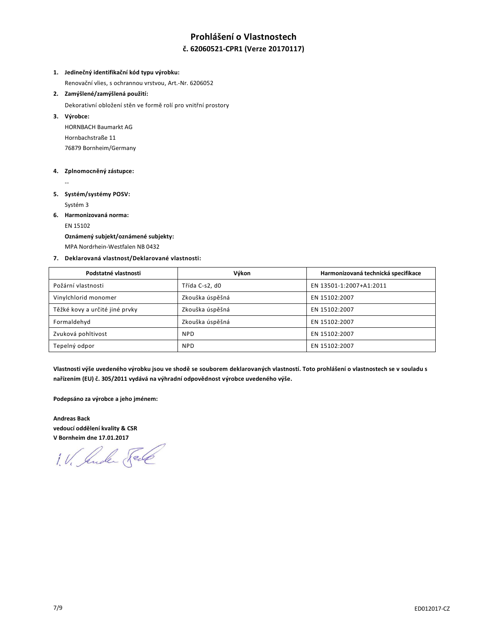# **Prohlášení o Vlastnostech**

## **č. 62060521-CPR1 (Verze 20170117)**

# **1. Jedinečný identifikační kód typu výrobku:**

Renovační vlies, s ochrannou vrstvou, Art.-Nr. 6206052

**2. Zamýšlené/zamýšlená použití:**

Dekorativní obložení stěn ve formě rolí pro vnitřní prostory

**3. Výrobce:** HORNBACH Baumarkt AG Hornbachstraße 11 76879 Bornheim/Germany

#### **4. Zplnomocněný zástupce:**

- --
- **5. Systém/systémy POSV:** Systém 3
- **6. Harmonizovaná norma:**
	- EN 15102

## **Oznámený subjekt/oznámené subjekty:**

MPA Nordrhein-Westfalen NB 0432

## **7. Deklarovaná vlastnost/Deklarované vlastnosti:**

| Podstatné vlastnosti           | Výkon           | Harmonizovaná technická specifikace |
|--------------------------------|-----------------|-------------------------------------|
| Požární vlastnosti             | Třída C-s2, d0  | EN 13501-1:2007+A1:2011             |
| Vinylchlorid monomer           | Zkouška úspěšná | EN 15102:2007                       |
| Těžké kovy a určité jiné prvky | Zkouška úspěšná | EN 15102:2007                       |
| Formaldehyd                    | Zkouška úspěšná | EN 15102:2007                       |
| Zvuková pohltivost             | <b>NPD</b>      | EN 15102:2007                       |
| Tepelný odpor                  | <b>NPD</b>      | EN 15102:2007                       |

**Vlastnosti výše uvedeného výrobku jsou ve shodě se souborem deklarovaných vlastností. Toto prohlášení o vlastnostech se v souladu s nařízením (EU) č. 305/2011 vydává na výhradní odpovědnost výrobce uvedeného výše.**

**Podepsáno za výrobce a jeho jménem:**

**Andreas Back vedoucí oddělení kvality & CSR**

**V Bornheim dne 17.01.2017**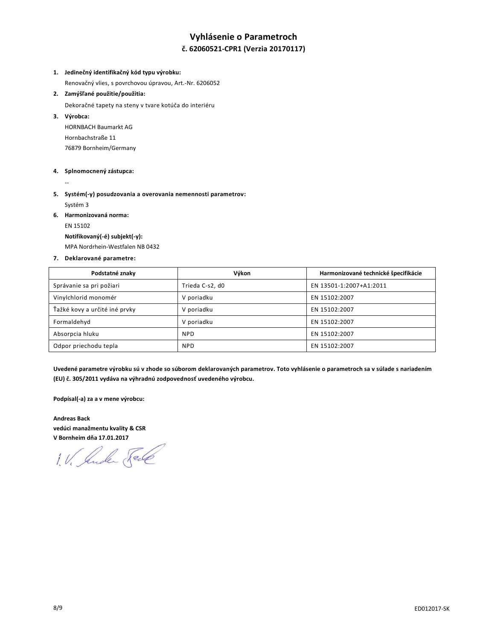# **Vyhlásenie o Parametroch**

## **č. 62060521-CPR1 (Verzia 20170117)**

## **1. Jedinečný identifikačný kód typu výrobku:**

Renovačný vlies, s povrchovou úpravou, Art.-Nr. 6206052

#### **2. Zamýšľané použitie/použitia:**

Dekoračné tapety na steny v tvare kotúča do interiéru

**3. Výrobca:** HORNBACH Baumarkt AG Hornbachstraße 11 76879 Bornheim/Germany

#### **4. Splnomocnený zástupca:**

- --
- **5. Systém(-y) posudzovania a overovania nemennosti parametrov:** Systém 3
- **6. Harmonizovaná norma:**

EN 15102

**Notifikovaný(-é) subjekt(-y):**

MPA Nordrhein-Westfalen NB 0432

## **7. Deklarované parametre:**

| Podstatné znaky               | Výkon           | Harmonizované technické špecifikácie |
|-------------------------------|-----------------|--------------------------------------|
| Správanie sa pri požiari      | Trieda C-s2, d0 | EN 13501-1:2007+A1:2011              |
| Vinylchlorid monomér          | V poriadku      | EN 15102:2007                        |
| Ťažké kovy a určité iné prvky | V poriadku      | EN 15102:2007                        |
| Formaldehyd                   | V poriadku      | EN 15102:2007                        |
| Absorpcia hluku               | <b>NPD</b>      | EN 15102:2007                        |
| Odpor priechodu tepla         | <b>NPD</b>      | EN 15102:2007                        |

**Uvedené parametre výrobku sú v zhode so súborom deklarovaných parametrov. Toto vyhlásenie o parametroch sa v súlade s nariadením (EU) č. 305/2011 vydáva na výhradnú zodpovednosť uvedeného výrobcu.**

**Podpísal(-a) za a v mene výrobcu:**

**Andreas Back vedúci manažmentu kvality & CSR**

**V Bornheim dňa 17.01.2017**